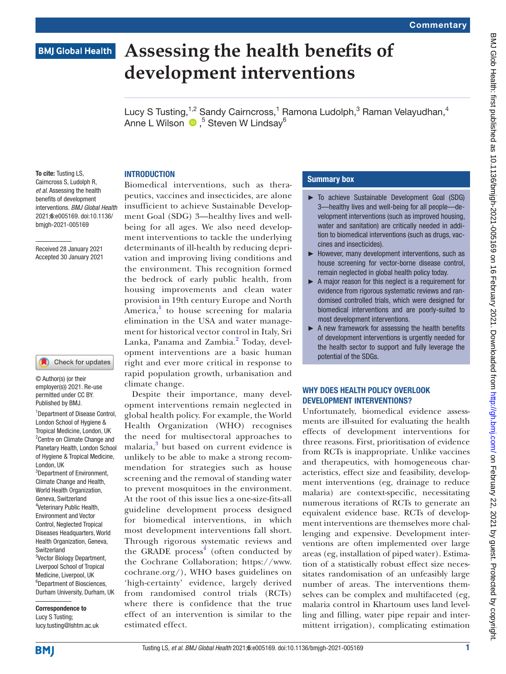# **BMJ Global Health**

# **Assessing the health benefits of development interventions**

Lucy S Tusting,<sup>1,2</sup> Sandy Cairncross,<sup>1</sup> Ramona Ludolph,<sup>3</sup> Raman Velayudhan,<sup>4</sup> AnneL Wilson (D,<sup>5</sup> Steven W Lindsay<sup>6</sup>

To cite: Tusting LS. Cairncross S, Ludolph R, *et al*. Assessing the health benefits of development interventions. *BMJ Global Health* 2021;6:e005169. doi:10.1136/ bmjgh-2021-005169

Received 28 January 2021 Accepted 30 January 2021

#### Check for updates

© Author(s) (or their employer(s)) 2021. Re-use permitted under CC BY. Published by BMJ.

1 Department of Disease Control, London School of Hygiene & Tropical Medicine, London, UK <sup>2</sup> Centre on Climate Change and Planetary Health, London School of Hygiene & Tropical Medicine, London, UK <sup>3</sup>Department of Environment, Climate Change and Health, World Health Organization. Geneva, Switzerland 4 Veterinary Public Health, Environment and Vector Control, Neglected Tropical Diseases Headquarters, World Health Organization, Geneva, Switzerland 5 Vector Biology Department, Liverpool School of Tropical Medicine, Liverpool, UK 6 Department of Biosciences, Durham University, Durham, UK

Correspondence to Lucy S Tusting; lucy.tusting@lshtm.ac.uk

# **INTRODUCTION**

Biomedical interventions, such as therapeutics, vaccines and insecticides, are alone insufficient to achieve Sustainable Development Goal (SDG) 3—healthy lives and wellbeing for all ages. We also need development interventions to tackle the underlying determinants of ill-health by reducing deprivation and improving living conditions and the environment. This recognition formed the bedrock of early public health, from housing improvements and clean water provision in 19th century Europe and North America,<sup>[1](#page-2-0)</sup> to house screening for malaria elimination in the USA and water management for historical vector control in Italy, Sri Lanka, Panama and Zambia.<sup>[2](#page-2-1)</sup> Today, development interventions are a basic human right and ever more critical in response to rapid population growth, urbanisation and climate change.

Despite their importance, many development interventions remain neglected in global health policy. For example, the World Health Organization (WHO) recognises the need for multisectoral approaches to malaria,<sup>[3](#page-2-2)</sup> but based on current evidence is unlikely to be able to make a strong recommendation for strategies such as house screening and the removal of standing water to prevent mosquitoes in the environment. At the root of this issue lies a one-size-fits-all guideline development process designed for biomedical interventions, in which most development interventions fall short. Through rigorous systematic reviews and the GRADE process<sup>[4](#page-2-3)</sup> (often conducted by the Cochrane Collaboration; [https://www.](https://www.cochrane.org/) [cochrane.org/](https://www.cochrane.org/)), WHO bases guidelines on 'high-certainty' evidence, largely derived from randomised control trials (RCTs) where there is confidence that the true effect of an intervention is similar to the estimated effect.

# Summary box

- ► To achieve Sustainable Development Goal (SDG) 3—healthy lives and well-being for all people—development interventions (such as improved housing, water and sanitation) are critically needed in addition to biomedical interventions (such as drugs, vaccines and insecticides).
- ► However, many development interventions, such as house screening for vector-borne disease control, remain neglected in global health policy today.
- ► A major reason for this neglect is a requirement for evidence from rigorous systematic reviews and randomised controlled trials, which were designed for biomedical interventions and are poorly-suited to most development interventions.
- $\blacktriangleright$  A new framework for assessing the health benefits of development interventions is urgently needed for the health sector to support and fully leverage the potential of the SDGs.

# WHY DOES HEALTH POLICY OVERLOOK DEVELOPMENT INTERVENTIONS?

Unfortunately, biomedical evidence assessments are ill-suited for evaluating the health effects of development interventions for three reasons. First, prioritisation of evidence from RCTs is inappropriate. Unlike vaccines and therapeutics, with homogeneous characteristics, effect size and feasibility, development interventions (eg, drainage to reduce malaria) are context-specific, necessitating numerous iterations of RCTs to generate an equivalent evidence base. RCTs of development interventions are themselves more challenging and expensive. Development interventions are often implemented over large areas (eg, installation of piped water). Estimation of a statistically robust effect size necessitates randomisation of an unfeasibly large number of areas. The interventions themselves can be complex and multifaceted (eg, malaria control in Khartoum uses land levelling and filling, water pipe repair and intermittent irrigation), complicating estimation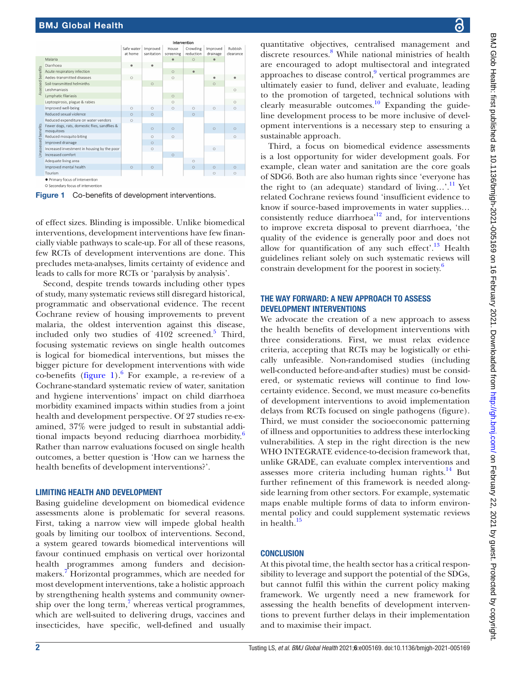

<span id="page-1-0"></span>Figure 1 Co-benefits of development interventions.

of effect sizes. Blinding is impossible. Unlike biomedical interventions, development interventions have few financially viable pathways to scale-up. For all of these reasons, few RCTs of development interventions are done. This precludes meta-analyses, limits certainty of evidence and leads to calls for more RCTs or 'paralysis by analysis'.

Second, despite trends towards including other types of study, many systematic reviews still disregard historical, programmatic and observational evidence. The recent Cochrane review of housing improvements to prevent malaria, the oldest intervention against this disease, included only two studies of 4102 screened.<sup>[5](#page-2-4)</sup> Third, focusing systematic reviews on single health outcomes is logical for biomedical interventions, but misses the bigger picture for development interventions with wide co-benefits ([figure](#page-1-0)  $1$ ).<sup>[6](#page-2-5)</sup> For example, a re-review of a Cochrane-standard systematic review of water, sanitation and hygiene interventions' impact on child diarrhoea morbidity examined impacts within studies from a joint health and development perspective. Of 27 studies re-examined, 37% were judged to result in substantial addi-tional impacts beyond reducing diarrhoea morbidity.<sup>[6](#page-2-5)</sup> Rather than narrow evaluations focused on single health outcomes, a better question is 'How can we harness the health benefits of development interventions?'.

# LIMITING HEALTH AND DEVELOPMENT

Basing guideline development on biomedical evidence assessments alone is problematic for several reasons. First, taking a narrow view will impede global health goals by limiting our toolbox of interventions. Second, a system geared towards biomedical interventions will favour continued emphasis on vertical over horizontal health programmes among funders and decision-makers.<sup>[7](#page-2-6)</sup> Horizontal programmes, which are needed for most development interventions, take a holistic approach by strengthening health systems and community owner-ship over the long term,<sup>[7](#page-2-6)</sup> whereas vertical programmes, which are well-suited to delivering drugs, vaccines and insecticides, have specific, well-defined and usually

quantitative objectives, centralised management and discrete resources.<sup>[8](#page-2-7)</sup> While national ministries of health are encouraged to adopt multisectoral and integrated approaches to disease control, $9$  vertical programmes are ultimately easier to fund, deliver and evaluate, leading to the promotion of targeted, technical solutions with clearly measurable outcomes.<sup>10</sup> Expanding the guideline development process to be more inclusive of development interventions is a necessary step to ensuring a sustainable approach.

Third, a focus on biomedical evidence assessments is a lost opportunity for wider development goals. For example, clean water and sanitation are the core goals of SDG6. Both are also human rights since 'everyone has the right to (an adequate) standard of living...'.<sup>11</sup> Yet related Cochrane reviews found 'insufficient evidence to know if source-based improvements in water supplies... consistently reduce diarrhoea'[12](#page-2-11) and, for interventions to improve excreta disposal to prevent diarrhoea, 'the quality of the evidence is generally poor and does not allow for quantification of any such effect'.<sup>13</sup> Health guidelines reliant solely on such systematic reviews will constrain development for the poorest in society.<sup>[6](#page-2-5)</sup>

# THE WAY FORWARD: A NEW APPROACH TO ASSESS DEVELOPMENT INTERVENTIONS

We advocate the creation of a new approach to assess the health benefits of development interventions with three considerations. First, we must relax evidence criteria, accepting that RCTs may be logistically or ethically unfeasible. Non-randomised studies (including well-conducted before-and-after studies) must be considered, or systematic reviews will continue to find lowcertainty evidence. Second, we must measure co-benefits of development interventions to avoid implementation delays from RCTs focused on single pathogens (figure). Third, we must consider the socioeconomic patterning of illness and opportunities to address these interlocking vulnerabilities. A step in the right direction is the new WHO INTEGRATE evidence-to-decision framework that, unlike GRADE, can evaluate complex interventions and assesses more criteria including human rights. $^{14}$  But further refinement of this framework is needed alongside learning from other sectors. For example, systematic maps enable multiple forms of data to inform environmental policy and could supplement systematic reviews in health.<sup>[15](#page-2-14)</sup>

# **CONCLUSION**

At this pivotal time, the health sector has a critical responsibility to leverage and support the potential of the SDGs, but cannot fulfil this within the current policy making framework. We urgently need a new framework for assessing the health benefits of development interventions to prevent further delays in their implementation and to maximise their impact.